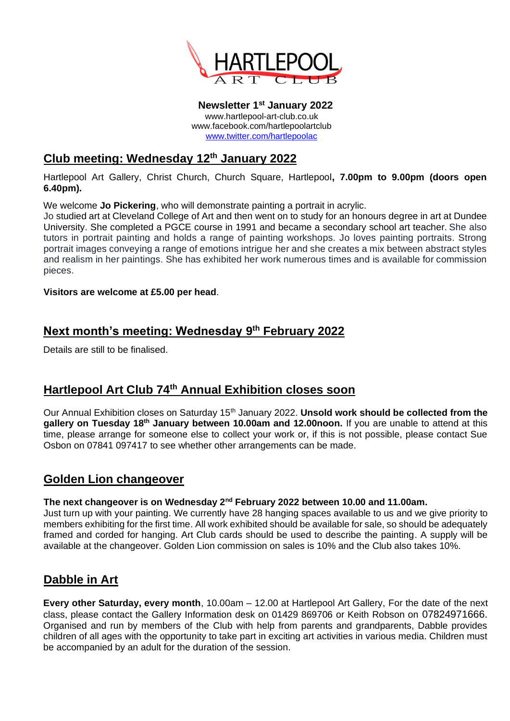

**Newsletter 1 st January 2022** www.hartlepool-art-club.co.uk www.facebook.com/hartlepoolartclub [www.twitter.com/hartlepoolac](http://www.twitter.com/hartlepoolac)

# **Club meeting: Wednesday 12th January 2022**

Hartlepool Art Gallery, Christ Church, Church Square, Hartlepool**, 7.00pm to 9.00pm (doors open 6.40pm).**

We welcome **Jo Pickering**, who will demonstrate painting a portrait in acrylic.

Jo studied art at Cleveland College of Art and then went on to study for an honours degree in art at Dundee University. She completed a PGCE course in 1991 and became a secondary school art teacher. She also tutors in portrait painting and holds a range of painting workshops. Jo loves painting portraits. Strong portrait images conveying a range of emotions intrigue her and she creates a mix between abstract styles and realism in her paintings. She has exhibited her work numerous times and is available for commission pieces.

**Visitors are welcome at £5.00 per head**.

## **Next month's meeting: Wednesday 9 th February 2022**

Details are still to be finalised.

# **Hartlepool Art Club 74th Annual Exhibition closes soon**

Our Annual Exhibition closes on Saturday 15<sup>th</sup> January 2022. **Unsold work should be collected from the gallery on Tuesday 18th January between 10.00am and 12.00noon.** If you are unable to attend at this time, please arrange for someone else to collect your work or, if this is not possible, please contact Sue Osbon on 07841 097417 to see whether other arrangements can be made.

### **Golden Lion changeover**

#### **The next changeover is on Wednesday 2nd February 2022 between 10.00 and 11.00am.**

Just turn up with your painting. We currently have 28 hanging spaces available to us and we give priority to members exhibiting for the first time. All work exhibited should be available for sale, so should be adequately framed and corded for hanging. Art Club cards should be used to describe the painting. A supply will be available at the changeover. Golden Lion commission on sales is 10% and the Club also takes 10%.

### **Dabble in Art**

**Every other Saturday, every month**, 10.00am – 12.00 at Hartlepool Art Gallery, For the date of the next class, please contact the Gallery Information desk on 01429 869706 or Keith Robson on 07824971666. Organised and run by members of the Club with help from parents and grandparents, Dabble provides children of all ages with the opportunity to take part in exciting art activities in various media. Children must be accompanied by an adult for the duration of the session.